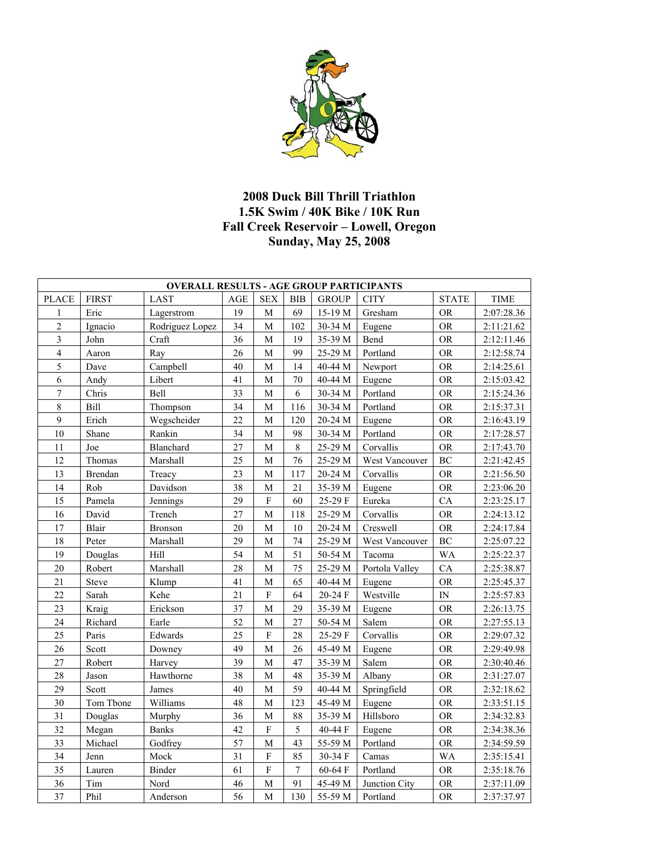

## **2008 Duck Bill Thrill Triathlon 1.5K Swim / 40K Bike / 10K Run Fall Creek Reservoir – Lowell, Oregon Sunday, May 25, 2008**

| <b>OVERALL RESULTS - AGE GROUP PARTICIPANTS</b> |              |                 |        |              |                  |                    |                |              |            |  |
|-------------------------------------------------|--------------|-----------------|--------|--------------|------------------|--------------------|----------------|--------------|------------|--|
| <b>PLACE</b>                                    | <b>FIRST</b> | <b>LAST</b>     | AGE    | <b>SEX</b>   | <b>BIB</b>       | <b>GROUP</b>       | <b>CITY</b>    | <b>STATE</b> | TIME       |  |
| 1                                               | Eric         | Lagerstrom      | 19     | $\mathbf M$  | 69               | 15-19 M            | Gresham        | <b>OR</b>    | 2:07:28.36 |  |
| $\overline{c}$                                  | Ignacio      | Rodriguez Lopez | 34     | M            | 102              | 30-34 M            | Eugene         | <b>OR</b>    | 2:11:21.62 |  |
| 3                                               | John         | Craft           | 36     | M            | 19               | 35-39 M            | Bend           | <b>OR</b>    | 2:12:11.46 |  |
| $\overline{4}$                                  | Aaron        | Ray             | 26     | M            | 99               | 25-29 M            | Portland       | <b>OR</b>    | 2:12:58.74 |  |
| 5                                               | Dave         | Campbell        | 40     | M            | 14               | 40-44 M            | Newport        | <b>OR</b>    | 2:14:25.61 |  |
| 6                                               | Andy         | Libert          | 41     | $\mathbf M$  | 70               | 40-44 M            | Eugene         | <b>OR</b>    | 2:15:03.42 |  |
| $\tau$                                          | Chris        | Bell            | 33     | $\mathbf M$  | 6                | 30-34 M            | Portland       | <b>OR</b>    | 2:15:24.36 |  |
| $\,$ 8 $\,$                                     | Bill         | Thompson        | 34     | $\mathbf M$  | 116              | 30-34 M            | Portland       | <b>OR</b>    | 2:15:37.31 |  |
| 9                                               | Erich        | Wegscheider     | 22     | $\mathbf M$  | 120              | 20-24 M            | Eugene         | <b>OR</b>    | 2:16:43.19 |  |
| 10                                              | Shane        | Rankin          | 34     | М            | 98               | 30-34 M            | Portland       | <b>OR</b>    | 2:17:28.57 |  |
| 11                                              | Joe          | Blanchard       | 27     | М            | $\,8\,$          | 25-29 M            | Corvallis      | <b>OR</b>    | 2:17:43.70 |  |
| 12                                              | Thomas       | Marshall        | 25     | M            | 76               | 25-29 M            | West Vancouver | BC           | 2:21:42.45 |  |
| 13                                              | Brendan      | Treacy          | 23     | М            | 117              | 20-24 M            | Corvallis      | <b>OR</b>    | 2:21:56.50 |  |
| 14                                              | Rob          | Davidson        | 38     | M            | 21               | 35-39 M            | Eugene         | <b>OR</b>    | 2:23:06.20 |  |
| 15                                              | Pamela       | Jennings        | 29     | ${\bf F}$    | 60               | 25-29 F            | Eureka         | CA           | 2:23:25.17 |  |
| 16                                              | David        | Trench          | $27\,$ | $\mathbf M$  | 118              | 25-29 M            | Corvallis      | <b>OR</b>    | 2:24:13.12 |  |
| 17                                              | Blair        | <b>Bronson</b>  | $20\,$ | M            | 10               | $20-24~\mathrm{M}$ | Creswell       | <b>OR</b>    | 2:24:17.84 |  |
| 18                                              | Peter        | Marshall        | 29     | M            | 74               | 25-29 M            | West Vancouver | BC           | 2:25:07.22 |  |
| 19                                              | Douglas      | Hill            | 54     | $\mathbf M$  | 51               | 50-54 M            | Tacoma         | WA           | 2:25:22.37 |  |
| 20                                              | Robert       | Marshall        | 28     | М            | 75               | 25-29 M            | Portola Valley | CA           | 2:25:38.87 |  |
| 21                                              | Steve        | Klump           | 41     | M            | 65               | 40-44 M            | Eugene         | <b>OR</b>    | 2:25:45.37 |  |
| 22                                              | Sarah        | Kehe            | 21     | F            | 64               | 20-24 F            | Westville      | $\hbox{IN}$  | 2:25:57.83 |  |
| 23                                              | Kraig        | Erickson        | 37     | M            | 29               | 35-39 M            | Eugene         | <b>OR</b>    | 2:26:13.75 |  |
| 24                                              | Richard      | Earle           | 52     | M            | 27               | 50-54 M            | Salem          | <b>OR</b>    | 2:27:55.13 |  |
| 25                                              | Paris        | Edwards         | 25     | ${\bf F}$    | 28               | 25-29 F            | Corvallis      | <b>OR</b>    | 2:29:07.32 |  |
| 26                                              | Scott        | Downey          | 49     | $\mathbf M$  | 26               | 45-49 M            | Eugene         | <b>OR</b>    | 2:29:49.98 |  |
| 27                                              | Robert       | Harvey          | 39     | $\mathbf M$  | 47               | 35-39 M            | Salem          | <b>OR</b>    | 2:30:40.46 |  |
| 28                                              | Jason        | Hawthorne       | 38     | $\mathbf M$  | 48               | 35-39 M            | Albany         | <b>OR</b>    | 2:31:27.07 |  |
| 29                                              | Scott        | James           | 40     | $\mathbf{M}$ | 59               | 40-44 M            | Springfield    | <b>OR</b>    | 2:32:18.62 |  |
| 30                                              | Tom Tbone    | Williams        | 48     | М            | 123              | 45-49 M            | Eugene         | <b>OR</b>    | 2:33:51.15 |  |
| 31                                              | Douglas      | Murphy          | 36     | М            | 88               | 35-39 M            | Hillsboro      | OR.          | 2:34:32.83 |  |
| 32                                              | Megan        | <b>Banks</b>    | 42     | F            | 5                | 40-44 F            | Eugene         | <b>OR</b>    | 2:34:38.36 |  |
| 33                                              | Michael      | Godfrey         | 57     | М            | 43               | 55-59 M            | Portland       | <b>OR</b>    | 2:34:59.59 |  |
| 34                                              | Jenn         | Mock            | 31     | $\rm F$      | 85               | 30-34 F            | Camas          | <b>WA</b>    | 2:35:15.41 |  |
| 35                                              | Lauren       | Binder          | 61     | ${\bf F}$    | $\boldsymbol{7}$ | 60-64 F            | Portland       | <b>OR</b>    | 2:35:18.76 |  |
| 36                                              | Tim          | Nord            | 46     | $\mathbf M$  | 91               | 45-49 M            | Junction City  | <b>OR</b>    | 2:37:11.09 |  |
| 37                                              | Phil         | Anderson        | 56     | M            | 130              | 55-59 M            | Portland       | <b>OR</b>    | 2:37:37.97 |  |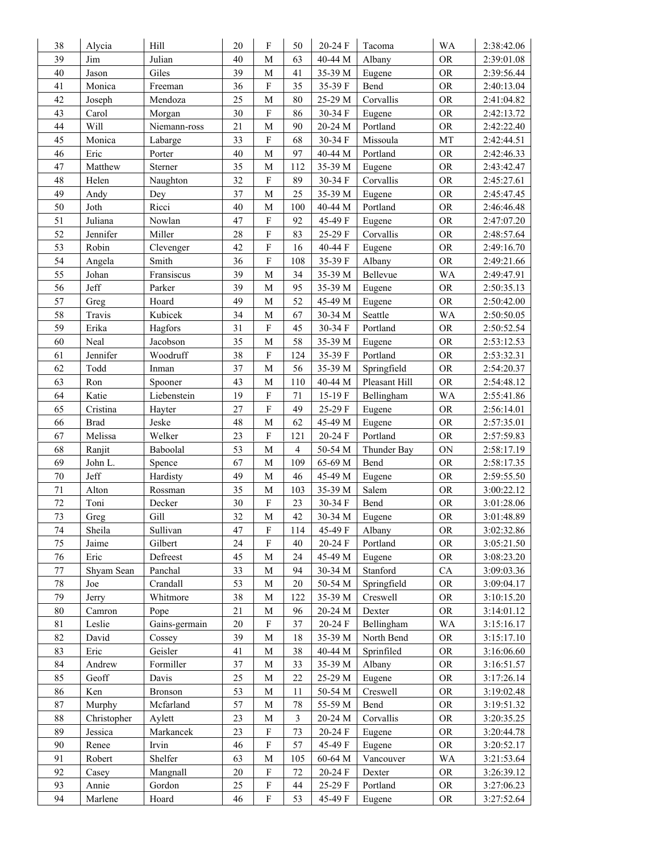| 38          | Alycia      | Hill           | 20 | F                         | 50             | 20-24 F            | Tacoma        | <b>WA</b>                | 2:38:42.06 |
|-------------|-------------|----------------|----|---------------------------|----------------|--------------------|---------------|--------------------------|------------|
| 39          | Jim         | Julian         | 40 | M                         | 63             | 40-44 M            | Albany        | <b>OR</b>                | 2:39:01.08 |
| 40          | Jason       | Giles          | 39 | M                         | 41             | 35-39 M            | Eugene        | <b>OR</b>                | 2:39:56.44 |
| 41          | Monica      | Freeman        | 36 | $\boldsymbol{F}$          | 35             | 35-39 F            | Bend          | <b>OR</b>                | 2:40:13.04 |
| 42          | Joseph      | Mendoza        | 25 | M                         | 80             | 25-29 M            | Corvallis     | <b>OR</b>                | 2:41:04.82 |
| 43          | Carol       | Morgan         | 30 | F                         | 86             | 30-34 F            | Eugene        | <b>OR</b>                | 2:42:13.72 |
| 44          | Will        | Niemann-ross   | 21 | M                         | 90             | 20-24 M            | Portland      | <b>OR</b>                | 2:42:22.40 |
| 45          | Monica      | Labarge        | 33 | $\rm F$                   | 68             | 30-34 F            | Missoula      | MT                       | 2:42:44.51 |
| 46          | Eric        | Porter         | 40 | M                         | 97             | 40-44 M            | Portland      | <b>OR</b>                | 2:42:46.33 |
| 47          | Matthew     | Sterner        | 35 | M                         | 112            | 35-39 M            | Eugene        | <b>OR</b>                | 2:43:42.47 |
| 48          | Helen       | Naughton       | 32 | $\mathbf F$               | 89             | 30-34 F            | Corvallis     | <b>OR</b>                | 2:45:27.61 |
| 49          | Andy        | Dey            | 37 | M                         | 25             | 35-39 M            | Eugene        | <b>OR</b>                | 2:45:47.45 |
| 50          | Joth        | Ricci          | 40 | $\mathbf M$               | 100            | 40-44 M            | Portland      | <b>OR</b>                | 2:46:46.48 |
| 51          | Juliana     | Nowlan         | 47 | $\mathbf F$               | 92             | 45-49 F            | Eugene        | <b>OR</b>                | 2:47:07.20 |
| 52          | Jennifer    | Miller         | 28 | $\mathbf F$               | 83             | 25-29 F            | Corvallis     | <b>OR</b>                | 2:48:57.64 |
| 53          | Robin       | Clevenger      | 42 | $\boldsymbol{F}$          | 16             | 40-44 F            | Eugene        | <b>OR</b>                | 2:49:16.70 |
| 54          | Angela      | Smith          | 36 | $\mathbf F$               | 108            | 35-39 F            | Albany        | <b>OR</b>                | 2:49:21.66 |
| 55          | Johan       | Fransiscus     | 39 | M                         | 34             | 35-39 M            | Bellevue      | WA                       | 2:49:47.91 |
| 56          | Jeff        | Parker         | 39 | $\mathbf M$               | 95             | 35-39 M            | Eugene        | <b>OR</b>                | 2:50:35.13 |
| 57          | Greg        | Hoard          | 49 | M                         | 52             | 45-49 M            | Eugene        | <b>OR</b>                | 2:50:42.00 |
| 58          | Travis      | Kubicek        | 34 | $\mathbf{M}$              | 67             | 30-34 M            | Seattle       | WA                       | 2:50:50.05 |
| 59          | Erika       | Hagfors        | 31 | $\mathbf F$               | 45             | 30-34 F            | Portland      | <b>OR</b>                | 2:50:52.54 |
| 60          | Neal        | Jacobson       | 35 | $\mathbf{M}$              | 58             | 35-39 M            | Eugene        | <b>OR</b>                | 2:53:12.53 |
| 61          | Jennifer    | Woodruff       | 38 | $\mathbf F$               | 124            | 35-39 F            | Portland      | <b>OR</b>                | 2:53:32.31 |
| 62          | Todd        | Inman          | 37 | M                         | 56             | 35-39 M            | Springfield   | <b>OR</b>                | 2:54:20.37 |
| 63          | Ron         | Spooner        | 43 | M                         | 110            | 40-44 M            | Pleasant Hill | <b>OR</b>                | 2:54:48.12 |
| 64          | Katie       | Liebenstein    | 19 | ${\bf F}$                 | $71\,$         | 15-19 F            | Bellingham    | WA                       | 2:55:41.86 |
| 65          | Cristina    | Hayter         | 27 | $\mathbf F$               | 49             | 25-29 F            | Eugene        | <b>OR</b>                | 2:56:14.01 |
| 66          | <b>Brad</b> | Jeske          | 48 | M                         | 62             | 45-49 M            | Eugene        | <b>OR</b>                | 2:57:35.01 |
| 67          | Melissa     | Welker         | 23 | F                         | 121            | 20-24 F            | Portland      | <b>OR</b>                | 2:57:59.83 |
| 68          | Ranjit      | Baboolal       | 53 | M                         | $\overline{4}$ | 50-54 M            | Thunder Bay   | ON                       | 2:58:17.19 |
| 69          | John L.     | Spence         | 67 | M                         | 109            | 65-69 M            | Bend          | <b>OR</b>                | 2:58:17.35 |
| $70\,$      | Jeff        | Hardisty       | 49 | M                         | 46             | 45-49 M            | Eugene        | <b>OR</b>                | 2:59:55.50 |
| 71          | Alton       | Rossman        | 35 | M                         | 103            | 35-39 M            | Salem         | <b>OR</b>                | 3:00:22.12 |
| $72\,$      | Toni        | Decker         | 30 | F                         | 23             | 30-34 F            | Bend          | <b>OR</b>                | 3:01:28.06 |
| 73          | Greg        | Gill           | 32 | M                         | 42             | 30-34 M            | Eugene        | <b>OR</b>                | 3:01:48.89 |
| 74          | Sheila      | Sullivan       | 47 | F                         | 114            | 45-49 F            | Albany        | <b>OR</b>                | 3:02:32.86 |
| 75          | Jaime       | Gilbert        | 24 | $\mathbf F$               | 40             | 20-24 F            | Portland      | <b>OR</b>                | 3:05:21.50 |
| 76          | Eric        | Defreest       | 45 | M                         | 24             | 45-49 M            | Eugene        | $\mathcal{O}\mathcal{R}$ | 3:08:23.20 |
| 77          | Shyam Sean  | Panchal        | 33 | M                         | 94             | 30-34 M            | Stanford      | CA                       | 3:09:03.36 |
| $78\,$      | Joe         | Crandall       | 53 | M                         | $20\,$         | 50-54 M            | Springfield   | <b>OR</b>                | 3:09:04.17 |
| 79          | Jerry       | Whitmore       | 38 | M                         | 122            | 35-39 M            | Creswell      | <b>OR</b>                | 3:10:15.20 |
| $80\,$      | Camron      | Pope           | 21 | M                         | 96             | 20-24 M            | Dexter        | <b>OR</b>                | 3:14:01.12 |
| $8\sqrt{1}$ | Leslie      | Gains-germain  | 20 | $\mathbf F$               | 37             | 20-24 F            | Bellingham    | WA                       | 3:15:16.17 |
| 82          | David       | Cossey         | 39 | M                         | 18             | 35-39 M            | North Bend    | <b>OR</b>                | 3:15:17.10 |
| 83          | Eric        | Geisler        | 41 | M                         | 38             | 40-44 M            | Sprinfiled    | <b>OR</b>                | 3:16:06.60 |
| 84          | Andrew      | Formiller      | 37 | М                         | 33             | 35-39 M            | Albany        | <b>OR</b>                | 3:16:51.57 |
| 85          | Geoff       | Davis          | 25 | M                         | 22             | 25-29 M            | Eugene        | <b>OR</b>                | 3:17:26.14 |
| 86          | Ken         | <b>Bronson</b> | 53 | M                         | 11             | 50-54 M            | Creswell      | <b>OR</b>                | 3:19:02.48 |
| $87\,$      | Murphy      | Mcfarland      | 57 | M                         | 78             | 55-59 M            | Bend          | <b>OR</b>                | 3:19:51.32 |
| $88\,$      | Christopher | Aylett         | 23 | М                         | $\mathfrak{Z}$ | 20-24 M            | Corvallis     | <b>OR</b>                | 3:20:35.25 |
| 89          | Jessica     | Markancek      | 23 | $\boldsymbol{\mathrm{F}}$ | 73             | 20-24 F            | Eugene        | <b>OR</b>                | 3:20:44.78 |
| 90          | Renee       | Irvin          | 46 | $\boldsymbol{\mathrm{F}}$ | 57             | 45-49 F            | Eugene        | <b>OR</b>                | 3:20:52.17 |
| 91          | Robert      | Shelfer        | 63 | $\mathbf M$               | 105            | $60-64~\mathrm{M}$ | Vancouver     | WA                       | 3:21:53.64 |
| 92          | Casey       | Mangnall       | 20 | $\boldsymbol{\mathrm{F}}$ | $72\,$         | 20-24 F            | Dexter        | <b>OR</b>                | 3:26:39.12 |
| 93          | Annie       | Gordon         | 25 | ${\bf F}$                 | 44             | 25-29 F            | Portland      | <b>OR</b>                | 3:27:06.23 |
| 94          | Marlene     | Hoard          | 46 | ${\bf F}$                 | 53             | 45-49 F            | Eugene        | <b>OR</b>                | 3:27:52.64 |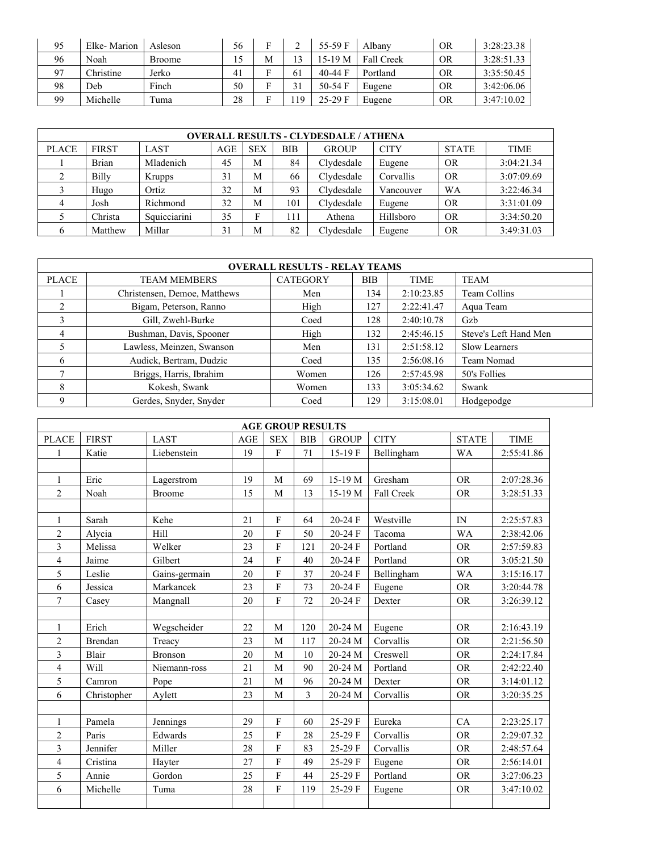| 95 | Elke-Marion | Asleson       | 56 |   | ∸  | 55-59 F   | Albany            | OR        | 3:28:23.38 |
|----|-------------|---------------|----|---|----|-----------|-------------------|-----------|------------|
| 96 | Noah        | <b>Broome</b> | 15 | М |    | 15-19 M   | <b>Fall Creek</b> | OR        | 3:28:51.33 |
| 07 | Christine   | Jerko         | 41 |   | 61 | 40-44 $F$ | Portland          | OR        | 3:35:50.45 |
| 98 | Deb         | Finch         | 50 |   |    | $50-54$ F | Eugene            | <b>OR</b> | 3:42:06.06 |
| 99 | Michelle    | Tuma          | 28 |   | 19 | $25-29$ F | Eugene            | OR        | 3:47:10.02 |

|              | <b>OVERALL RESULTS - CLYDESDALE / ATHENA</b>                                          |               |                             |            |            |              |             |              |             |  |  |  |  |
|--------------|---------------------------------------------------------------------------------------|---------------|-----------------------------|------------|------------|--------------|-------------|--------------|-------------|--|--|--|--|
| <b>PLACE</b> | <b>FIRST</b>                                                                          | LAST          | AGE                         | <b>SEX</b> | <b>BIB</b> | <b>GROUP</b> | <b>CITY</b> | <b>STATE</b> | <b>TIME</b> |  |  |  |  |
|              | <b>Brian</b>                                                                          | Mladenich     | Clydesdale<br>45<br>84<br>M |            | Eugene     | <b>OR</b>    | 3:04:21.34  |              |             |  |  |  |  |
|              | Billy                                                                                 | <b>Krupps</b> | 31                          | M          | 66         | Clydesdale   | Corvallis   | <b>OR</b>    | 3:07:09.69  |  |  |  |  |
|              | Hugo                                                                                  | Ortiz         | 32                          | М          | 93         | Clydesdale   | Vancouver   | WA           | 3:22:46.34  |  |  |  |  |
| 4            | Josh                                                                                  | Richmond      | 32                          | М          | 101        | Clydesdale   | Eugene      | <b>OR</b>    | 3:31:01.09  |  |  |  |  |
|              | Christa                                                                               | Squicciarini  | 35                          | Е          | 111        | Athena       | Hillsboro   | <b>OR</b>    | 3:34:50.20  |  |  |  |  |
|              | 3:49:31.03<br>Matthew<br>Millar<br>82<br>Clydesdale<br><b>OR</b><br>31<br>M<br>Eugene |               |                             |            |            |              |             |              |             |  |  |  |  |

| <b>OVERALL RESULTS - RELAY TEAMS</b> |                              |                 |     |             |                       |  |  |  |  |  |  |  |
|--------------------------------------|------------------------------|-----------------|-----|-------------|-----------------------|--|--|--|--|--|--|--|
| <b>PLACE</b>                         | <b>TEAM MEMBERS</b>          | <b>CATEGORY</b> | BIB | <b>TIME</b> | <b>TEAM</b>           |  |  |  |  |  |  |  |
|                                      | Christensen, Demoe, Matthews | Men             | 134 | 2:10:23.85  | Team Collins          |  |  |  |  |  |  |  |
| 2                                    | Bigam, Peterson, Ranno       | High            | 127 | 2:22:41.47  | Aqua Team             |  |  |  |  |  |  |  |
| 3                                    | Gill, Zwehl-Burke            | Coed            | 128 | 2:40:10.78  | Gzb                   |  |  |  |  |  |  |  |
| 4                                    | Bushman, Davis, Spooner      | High            | 132 | 2:45:46.15  | Steve's Left Hand Men |  |  |  |  |  |  |  |
|                                      | Lawless, Meinzen, Swanson    | Men             | 131 | 2:51:58.12  | Slow Learners         |  |  |  |  |  |  |  |
| 6                                    | Audick, Bertram, Dudzic      | Coed            | 135 | 2:56:08.16  | Team Nomad            |  |  |  |  |  |  |  |
|                                      | Briggs, Harris, Ibrahim      | Women           | 126 | 2:57:45.98  | 50's Follies          |  |  |  |  |  |  |  |
| 8                                    | Kokesh, Swank                | Women           | 133 | 3:05:34.62  | Swank                 |  |  |  |  |  |  |  |
|                                      | Gerdes, Snyder, Snyder       | Coed            | 129 | 3:15:08.01  | Hodgepodge            |  |  |  |  |  |  |  |

| <b>AGE GROUP RESULTS</b> |                |               |     |                         |            |              |             |              |             |  |  |  |
|--------------------------|----------------|---------------|-----|-------------------------|------------|--------------|-------------|--------------|-------------|--|--|--|
| <b>PLACE</b>             | <b>FIRST</b>   | <b>LAST</b>   | AGE | <b>SEX</b>              | <b>BIB</b> | <b>GROUP</b> | <b>CITY</b> | <b>STATE</b> | <b>TIME</b> |  |  |  |
| $\mathbf{1}$             | Katie          | Liebenstein   | 19  | $\overline{F}$          | 71         | 15-19F       | Bellingham  | WA           | 2:55:41.86  |  |  |  |
|                          |                |               |     |                         |            |              |             |              |             |  |  |  |
| $\mathbf{1}$             | Eric           | Lagerstrom    | 19  | M                       | 69         | 15-19 M      | Gresham     | <b>OR</b>    | 2:07:28.36  |  |  |  |
| $\mathbf{2}$             | Noah           | <b>Broome</b> | 15  | M                       | 13         | 15-19 M      | Fall Creek  | <b>OR</b>    | 3:28:51.33  |  |  |  |
|                          |                |               |     |                         |            |              |             |              |             |  |  |  |
| 1                        | Sarah          | Kehe          | 21  | F                       | 64         | 20-24 F      | Westville   | IN           | 2:25:57.83  |  |  |  |
| $\overline{c}$           | Alvcia         | Hill          | 20  | F                       | 50         | 20-24 F      | Tacoma      | <b>WA</b>    | 2:38:42.06  |  |  |  |
| $\overline{3}$           | Melissa        | Welker        | 23  | $\mathbf F$             | 121        | 20-24 F      | Portland    | <b>OR</b>    | 2:57:59.83  |  |  |  |
| $\overline{\mathcal{L}}$ | Jaime          | Gilbert       | 24  | F                       | 40         | 20-24 F      | Portland    | <b>OR</b>    | 3:05:21.50  |  |  |  |
| 5                        | Leslie         | Gains-germain | 20  | $\overline{F}$          | 37         | 20-24 F      | Bellingham  | <b>WA</b>    | 3:15:16.17  |  |  |  |
| 6                        | Jessica        | Markancek     | 23  | F                       | 73         | $20-24$ F    | Eugene      | <b>OR</b>    | 3:20:44.78  |  |  |  |
| 7                        | Casey          | Mangnall      | 20  | F                       | 72         | 20-24 F      | Dexter      | <b>OR</b>    | 3:26:39.12  |  |  |  |
|                          |                |               |     |                         |            |              |             |              |             |  |  |  |
| $\mathbf{1}$             | Erich          | Wegscheider   | 22  | M                       | 120        | 20-24 M      | Eugene      | <b>OR</b>    | 2:16:43.19  |  |  |  |
| $\overline{c}$           | <b>Brendan</b> | Treacy        | 23  | M                       | 117        | 20-24 M      | Corvallis   | <b>OR</b>    | 2:21:56.50  |  |  |  |
| 3                        | Blair          | Bronson       | 20  | M                       | 10         | 20-24 M      | Creswell    | <b>OR</b>    | 2:24:17.84  |  |  |  |
| $\overline{4}$           | Will           | Niemann-ross  | 21  | M                       | 90         | 20-24 M      | Portland    | <b>OR</b>    | 2:42:22.40  |  |  |  |
| 5                        | Camron         | Pope          | 21  | M                       | 96         | 20-24 M      | Dexter      | <b>OR</b>    | 3:14:01.12  |  |  |  |
| 6                        | Christopher    | Aylett        | 23  | M                       | 3          | 20-24 M      | Corvallis   | <b>OR</b>    | 3:20:35.25  |  |  |  |
|                          |                |               |     |                         |            |              |             |              |             |  |  |  |
| 1                        | Pamela         | Jennings      | 29  | F                       | 60         | 25-29 F      | Eureka      | CA           | 2:23:25.17  |  |  |  |
| $\overline{2}$           | Paris          | Edwards       | 25  | $\mathbf F$             | 28         | 25-29 F      | Corvallis   | <b>OR</b>    | 2:29:07.32  |  |  |  |
| 3                        | Jennifer       | Miller        | 28  | $\overline{F}$          | 83         | 25-29 F      | Corvallis   | <b>OR</b>    | 2:48:57.64  |  |  |  |
| $\overline{4}$           | Cristina       | Hayter        | 27  | $\overline{F}$          | 49         | 25-29 F      | Eugene      | <b>OR</b>    | 2:56:14.01  |  |  |  |
| 5                        | Annie          | Gordon        | 25  | F                       | 44         | 25-29 F      | Portland    | <b>OR</b>    | 3:27:06.23  |  |  |  |
| 6                        | Michelle       | Tuma          | 28  | $\overline{\mathrm{F}}$ | 119        | 25-29 F      | Eugene      | <b>OR</b>    | 3:47:10.02  |  |  |  |
|                          |                |               |     |                         |            |              |             |              |             |  |  |  |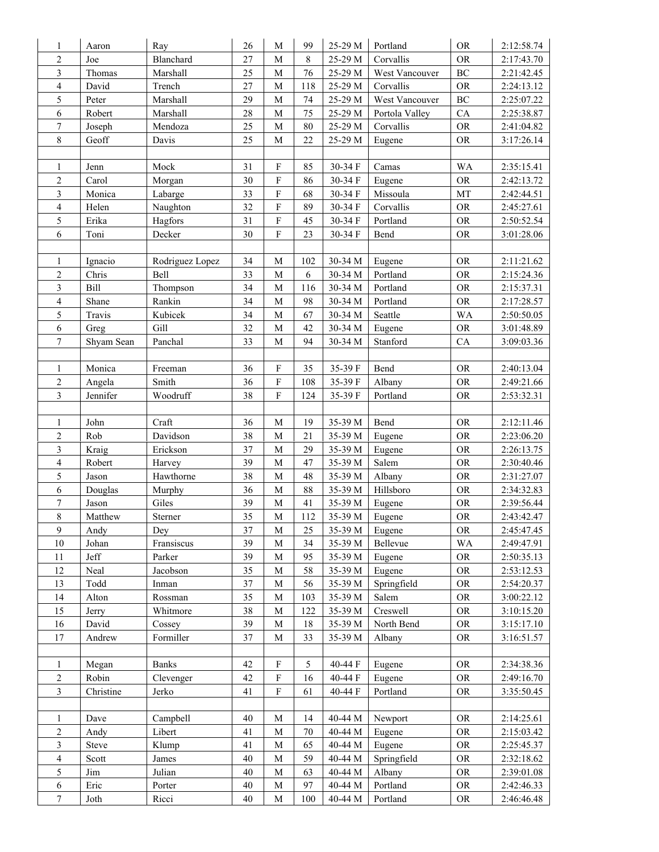| 1                                | Aaron          | Ray                | 26           | M                           | 99        | 25-29 M            | Portland           | ${\rm OR}$               | 2:12:58.74               |
|----------------------------------|----------------|--------------------|--------------|-----------------------------|-----------|--------------------|--------------------|--------------------------|--------------------------|
| $\sqrt{2}$                       | Joe            | Blanchard          | 27           | M                           | 8         | 25-29 M            | Corvallis          | ${\rm OR}$               | 2:17:43.70               |
| $\mathfrak{Z}$                   | Thomas         | Marshall           | 25           | M                           | 76        | 25-29 M            | West Vancouver     | $\rm BC$                 | 2:21:42.45               |
| $\sqrt{4}$                       | David          | Trench             | 27           | $\mathbf{M}$                | 118       | 25-29 M            | Corvallis          | $\mathcal{O}\mathcal{R}$ | 2:24:13.12               |
| 5                                | Peter          | Marshall           | 29           | M                           | 74        | 25-29 M            | West Vancouver     | $\rm BC$                 | 2:25:07.22               |
| 6                                | Robert         | Marshall           | 28           | M                           | 75        | 25-29 M            | Portola Valley     | CA                       | 2:25:38.87               |
| $\boldsymbol{7}$                 | Joseph         | Mendoza            | 25           | $\mathbf{M}$                | $80\,$    | 25-29 M            | Corvallis          | ${\rm OR}$               | 2:41:04.82               |
| $\,$ 8 $\,$                      | Geoff          | Davis              | 25           | M                           | $22\,$    | 25-29 M            | Eugene             | <b>OR</b>                | 3:17:26.14               |
|                                  |                |                    |              |                             |           |                    |                    |                          |                          |
| $\mathbf{1}$                     | Jenn           | Mock               | 31           | $\mathbf F$                 | 85        | 30-34 F            | Camas              | <b>WA</b>                | 2:35:15.41               |
| $\sqrt{2}$                       | Carol          | Morgan             | 30           | $\overline{F}$              | 86        | 30-34 F            | Eugene             | ${\rm OR}$               | 2:42:13.72               |
| $\mathfrak{Z}$                   | Monica         | Labarge            | 33           | $\overline{\mathrm{F}}$     | 68        | 30-34 F            | Missoula           | $\rm{MT}$                | 2:42:44.51               |
| $\sqrt{4}$                       | Helen          | Naughton           | 32           | $\overline{F}$              | 89        | 30-34 F            | Corvallis          | ${\rm OR}$               | 2:45:27.61               |
| $\sqrt{5}$                       | Erika          | Hagfors            | 31           | $\overline{F}$              | 45        | 30-34 F            | Portland           | ${\rm OR}$               | 2:50:52.54               |
| 6                                | Toni           | Decker             | 30           | $\rm F$                     | 23        | 30-34 F            | Bend               | <b>OR</b>                | 3:01:28.06               |
|                                  |                |                    |              |                             |           |                    |                    |                          |                          |
| 1                                | Ignacio        | Rodriguez Lopez    | 34           | M                           | 102       | 30-34 M            | Eugene             | <b>OR</b>                | 2:11:21.62               |
| $\overline{c}$                   | Chris          | Bell               | 33           | M                           | 6         | 30-34 M            | Portland           | <b>OR</b>                | 2:15:24.36               |
| 3                                | Bill           | Thompson           | 34           | $\mathbf{M}$                | 116       | 30-34 M            | Portland           | ${\rm OR}$               | 2:15:37.31               |
| $\overline{\mathbf{4}}$          | Shane          | Rankin             | 34           | M                           | 98        | 30-34 M            | Portland           | ${\rm OR}$               | 2:17:28.57               |
| 5                                | Travis         | Kubicek            | 34           | M                           | 67        | 30-34 M            | Seattle            | WA                       | 2:50:50.05               |
| 6                                | Greg           | Gill               | 32           | M                           | 42        | 30-34 M            | Eugene             | ${\rm OR}$               | 3:01:48.89               |
| $\boldsymbol{7}$                 | Shyam Sean     | Panchal            | 33           | M                           | 94        | 30-34 M            | Stanford           | CA                       | 3:09:03.36               |
|                                  |                |                    |              |                             |           |                    |                    |                          |                          |
| $\mathbf{1}$                     | Monica         | Freeman            | 36           | $\mathbf F$                 | 35        | 35-39 F            | Bend               | <b>OR</b>                | 2:40:13.04               |
| $\sqrt{2}$                       | Angela         | Smith              | 36           | $\mathbf F$                 | 108       | 35-39 F            | Albany             | ${\rm OR}$               | 2:49:21.66               |
| 3                                | Jennifer       | Woodruff           | 38           | $\boldsymbol{\mathrm{F}}$   | 124       | 35-39 F            | Portland           | <b>OR</b>                | 2:53:32.31               |
|                                  |                |                    |              |                             |           |                    |                    |                          |                          |
| 1                                | John           | Craft              | 36           | M                           | 19        | 35-39 M            | Bend               | ${\rm OR}$               | 2:12:11.46               |
| $\overline{2}$                   | Rob            | Davidson           | 38           | M                           | 21        | 35-39 M            | Eugene             | <b>OR</b>                | 2:23:06.20               |
| 3                                | Kraig          | Erickson           | 37           | $\mathbf{M}$                | 29        | 35-39 M            | Eugene             | ${\rm OR}$               | 2:26:13.75               |
| $\overline{4}$                   | Robert         | Harvey             | 39           | M                           | 47        | 35-39 M            | Salem              | ${\rm OR}$               | 2:30:40.46               |
| $\sqrt{5}$                       | Jason          | Hawthorne          | 38           | M                           | $48\,$    | 35-39 M            | Albany             | ${\rm OR}$               | 2:31:27.07               |
| 6                                | Douglas        | Murphy             | 36           | $\mathbf{M}$                | $88\,$    | 35-39 M            | Hillsboro          | ${\rm OR}$               | 2:34:32.83               |
| $\overline{7}$                   | Jason          | Giles              | 39           | M                           | 41        | 35-39 M            | Eugene             | $\mathcal{O}\mathcal{R}$ | 2:39:56.44               |
| $\,8\,$                          | Matthew        | Sterner            | 35           | M                           | 112       | 35-39 M            | Eugene             | <b>OR</b>                | 2:43:42.47               |
| 9                                | Andy           | Dey                | 37           | М                           | 25        | 35-39 M            | Eugene             | ${\rm OR}$               | 2:45:47.45               |
| 10                               | Johan          | Fransiscus         | 39           | M                           | 34        | 35-39 M            | Bellevue           | WA                       | 2:49:47.91               |
| 11                               | Jeff           | Parker             | 39           | M                           | 95        | 35-39 M            | Eugene             | <b>OR</b>                | 2:50:35.13               |
| 12                               |                |                    |              |                             |           |                    | Eugene             |                          | 2:53:12.53               |
| 13                               | Neal<br>Todd   | Jacobson           | 35<br>37     | M<br>$\mathbf M$            | 58        | 35-39 M<br>35-39 M | Springfield        | <b>OR</b><br><b>OR</b>   | 2:54:20.37               |
| 14                               | Alton          | Inman<br>Rossman   | 35           | M                           | 56<br>103 | 35-39 M            | Salem              | <b>OR</b>                | 3:00:22.12               |
| 15                               |                | Whitmore           | $38\,$       | $\mathbf M$                 | 122       | 35-39 M            | Creswell           | ${\rm OR}$               | 3:10:15.20               |
| 16                               | Jerry<br>David | Cossey             | 39           | M                           | 18        | 35-39 M            | North Bend         | ${\rm OR}$               | 3:15:17.10               |
| 17                               |                | Formiller          | 37           | M                           |           |                    |                    |                          |                          |
|                                  | Andrew         |                    |              |                             | 33        | 35-39 M            | Albany             | <b>OR</b>                | 3:16:51.57               |
| $\mathbf{1}$                     |                | <b>Banks</b>       | 42           | ${\bf F}$                   | 5         | 40-44 F            | Eugene             | ${\rm OR}$               |                          |
|                                  | Megan<br>Robin |                    | 42           | $\mathbf F$                 |           |                    |                    | ${\rm OR}$               | 2:34:38.36               |
| $\overline{c}$<br>$\overline{3}$ | Christine      | Clevenger<br>Jerko | 41           | $\overline{\mathrm{F}}$     | 16<br>61  | 40-44 F<br>40-44 F | Eugene<br>Portland | ${\rm OR}$               | 2:49:16.70<br>3:35:50.45 |
|                                  |                |                    |              |                             |           |                    |                    |                          |                          |
|                                  |                |                    | 40           | M                           |           |                    |                    |                          |                          |
| $\mathbf{1}$<br>$\sqrt{2}$       | Dave           | Campbell           |              |                             | 14        | 40-44 M            | Newport            | <b>OR</b>                | 2:14:25.61               |
| $\mathfrak{Z}$                   | Andy           | Libert             | 41           | M                           | 70        | 40-44 M            | Eugene             | <b>OR</b>                | 2:15:03.42               |
|                                  | Steve          | Klump              | 41           | $\mathbf M$                 | 65        | 40-44 M            | Eugene             | <b>OR</b>                | 2:25:45.37               |
| $\overline{4}$<br>$\sqrt{5}$     | Scott          | James              | $40\,$<br>40 | $\mathbf{M}$<br>$\mathbf M$ | 59<br>63  | 40-44 M<br>40-44 M | Springfield        | <b>OR</b>                | 2:32:18.62               |
|                                  | Jim            | Julian             |              |                             |           | 40-44 M            | Albany<br>Portland | ${\rm OR}$               | 2:39:01.08               |
| 6                                | Eric           | Porter             | $40\,$       | $\mathbf M$                 | 97        |                    |                    | ${\rm OR}$               | 2:42:46.33               |
| 7                                | Joth           | Ricci              | 40           | M                           | 100       | 40-44 M            | Portland           | <b>OR</b>                | 2:46:46.48               |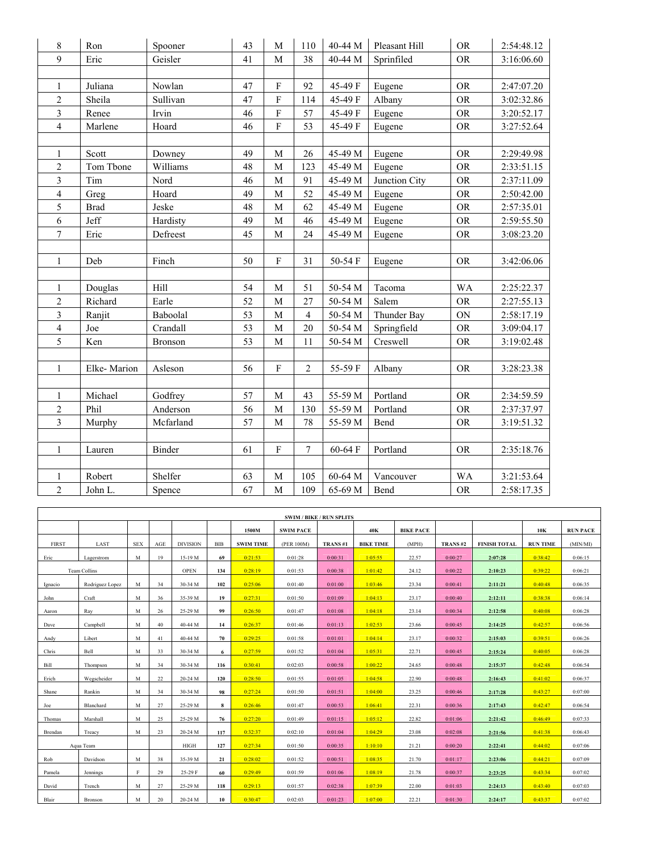| 8                        | Ron         | Spooner   | 43 | $\mathbf M$    | 110            | 40-44 M | Pleasant Hill | <b>OR</b>   | 2:54:48.12 |
|--------------------------|-------------|-----------|----|----------------|----------------|---------|---------------|-------------|------------|
| 9                        | Eric        | Geisler   | 41 | $\mathbf M$    | 38             | 40-44 M | Sprinfiled    | ${\rm OR}$  | 3:16:06.60 |
|                          |             |           |    |                |                |         |               |             |            |
| $\mathbf{1}$             | Juliana     | Nowlan    | 47 | ${\bf F}$      | 92             | 45-49 F | Eugene        | <b>OR</b>   | 2:47:07.20 |
| $\overline{c}$           | Sheila      | Sullivan  | 47 | F              | 114            | 45-49 F | Albany        | <b>OR</b>   | 3:02:32.86 |
| $\overline{\mathbf{3}}$  | Renee       | Irvin     | 46 | $\overline{F}$ | 57             | 45-49 F | Eugene        | <b>OR</b>   | 3:20:52.17 |
| 4                        | Marlene     | Hoard     | 46 | ${\bf F}$      | 53             | 45-49 F | Eugene        | <b>OR</b>   | 3:27:52.64 |
|                          |             |           |    |                |                |         |               |             |            |
| $\mathbf{1}$             | Scott       | Downey    | 49 | M              | 26             | 45-49 M | Eugene        | <b>OR</b>   | 2:29:49.98 |
| $\overline{c}$           | Tom Tbone   | Williams  | 48 | $\mathbf{M}$   | 123            | 45-49 M | Eugene        | <b>OR</b>   | 2:33:51.15 |
| $\mathfrak{Z}$           | Tim         | Nord      | 46 | M              | 91             | 45-49 M | Junction City | <b>OR</b>   | 2:37:11.09 |
| $\overline{\mathcal{L}}$ | Greg        | Hoard     | 49 | M              | 52             | 45-49 M | Eugene        | <b>OR</b>   | 2:50:42.00 |
| 5                        | <b>Brad</b> | Jeske     | 48 | $\mathbf M$    | 62             | 45-49 M | Eugene        | ${\rm OR}$  | 2:57:35.01 |
| 6                        | Jeff        | Hardisty  | 49 | $\mathbf M$    | 46             | 45-49 M | Eugene        | <b>OR</b>   | 2:59:55.50 |
| 7                        | Eric        | Defreest  | 45 | $\mathbf M$    | 24             | 45-49 M | Eugene        | <b>OR</b>   | 3:08:23.20 |
|                          |             |           |    |                |                |         |               |             |            |
| $\mathbf{1}$             | Deb         | Finch     | 50 | ${\bf F}$      | 31             | 50-54 F | Eugene        | ${\rm OR}$  | 3:42:06.06 |
|                          |             |           |    |                |                |         |               |             |            |
| $\mathbf{1}$             | Douglas     | Hill      | 54 | M              | 51             | 50-54 M | Tacoma        | WA          | 2:25:22.37 |
| $\mathbf{2}$             | Richard     | Earle     | 52 | M              | 27             | 50-54 M | Salem         | <b>OR</b>   | 2:27:55.13 |
| 3                        | Ranjit      | Baboolal  | 53 | $\mathbf M$    | $\overline{4}$ | 50-54 M | Thunder Bay   | $\mbox{ON}$ | 2:58:17.19 |
| $\overline{\mathbf{4}}$  | Joe         | Crandall  | 53 | M              | 20             | 50-54 M | Springfield   | <b>OR</b>   | 3:09:04.17 |
| 5                        | Ken         | Bronson   | 53 | M              | 11             | 50-54 M | Creswell      | <b>OR</b>   | 3:19:02.48 |
|                          |             |           |    |                |                |         |               |             |            |
| 1                        | Elke-Marion | Asleson   | 56 | F              | $\overline{c}$ | 55-59 F | Albany        | <b>OR</b>   | 3:28:23.38 |
|                          |             |           |    |                |                |         |               |             |            |
| $\mathbf{1}$             | Michael     | Godfrey   | 57 | $\mathbf M$    | 43             | 55-59 M | Portland      | ${\rm OR}$  | 2:34:59.59 |
| $\overline{c}$           | Phil        | Anderson  | 56 | $\mathbf M$    | 130            | 55-59 M | Portland      | <b>OR</b>   | 2:37:37.97 |
| 3                        | Murphy      | Mcfarland | 57 | M              | 78             | 55-59 M | Bend          | <b>OR</b>   | 3:19:51.32 |
|                          |             |           |    |                |                |         |               |             |            |
| $\mathbf{1}$             | Lauren      | Binder    | 61 | ${\bf F}$      | $\tau$         | 60-64 F | Portland      | <b>OR</b>   | 2:35:18.76 |
|                          |             |           |    |                |                |         |               |             |            |
| 1                        | Robert      | Shelfer   | 63 | $\mathbf M$    | 105            | 60-64 M | Vancouver     | WA          | 3:21:53.64 |
| $\overline{c}$           | John L.     | Spence    | 67 | $\mathbf M$    | 109            | 65-69 M | Bend          | <b>OR</b>   | 2:58:17.35 |

|              |                 |            |     |                 |            |                  |                  | <b>SWIM / BIKE / RUN SPLITS</b> |                  |                  |         |                     |                 |                 |
|--------------|-----------------|------------|-----|-----------------|------------|------------------|------------------|---------------------------------|------------------|------------------|---------|---------------------|-----------------|-----------------|
|              |                 |            |     |                 |            | 1500M            | <b>SWIM PACE</b> |                                 | 40K              | <b>BIKE PACE</b> |         |                     | 10K             | <b>RUN PACE</b> |
| <b>FIRST</b> | LAST            | <b>SEX</b> | AGE | <b>DIVISION</b> | <b>BIB</b> | <b>SWIM TIME</b> | (PER 100M)       | TRANS#1                         | <b>BIKE TIME</b> | (MPH)            | TRANS#2 | <b>FINISH TOTAL</b> | <b>RUN TIME</b> | (MIN/MI)        |
| Eric         | Lagerstrom      | M          | 19  | 15-19 M         | 69         | 0:21:53          | 0:01:28          | 0:00:31                         | 1:05:55          | 22.57            | 0:00:27 | 2:07:28             | 0:38:42         | 0:06:15         |
|              | Team Collins    |            |     | <b>OPEN</b>     | 134        | 0:28:19          | 0:01:53          | 0:00:38                         | 1:01:42          | 24.12            | 0:00:22 | 2:10:23             | 0:39:22         | 0:06:21         |
| Ignacio      | Rodriguez Lopez | M          | 34  | 30-34 M         | 102        | 0:25:06          | 0:01:40          | 0:01:00                         | 1:03:46          | 23.34            | 0:00:41 | 2:11:21             | 0:40:48         | 0:06:35         |
| John         | Craft           | M          | 36  | 35-39 M         | 19         | 0:27:31          | 0:01:50          | 0:01:09                         | 1:04:13          | 23.17            | 0:00:40 | 2:12:11             | 0:38:38         | 0:06:14         |
| Aaron        | Ray             | M          | 26  | 25-29 M         | 99         | 0:26:50          | 0:01:47          | 0:01:08                         | 1:04:18          | 23.14            | 0:00:34 | 2:12:58             | 0:40:08         | 0:06:28         |
| Dave         | Campbell        | M          | 40  | 40-44 M         | 14         | 0:26:37          | 0:01:46          | 0:01:13                         | 1:02:53          | 23.66            | 0:00:45 | 2:14:25             | 0:42:57         | 0:06:56         |
| Andy         | Libert          | M          | 41  | 40-44 M         | 70         | 0:29:25          | 0:01:58          | 0:01:01                         | 1:04:14          | 23.17            | 0:00:32 | 2:15:03             | 0:39:51         | 0:06:26         |
| Chris        | Bell            | M          | 33  | 30-34 M         | 6          | 0:27:59          | 0:01:52          | 0:01:04                         | 1:05:31          | 22.71            | 0:00:45 | 2:15:24             | 0:40:05         | 0:06:28         |
| Bill         | Thompson        | M          | 34  | 30-34 M         | 116        | 0:30:41          | 0:02:03          | 0:00:58                         | 1:00:22          | 24.65            | 0:00:48 | 2:15:37             | 0:42:48         | 0:06:54         |
| Erich        | Wegscheider     | M          | 22  | 20-24 M         | 120        | 0:28:50          | 0:01:55          | 0:01:05                         | 1:04:58          | 22.90            | 0:00:48 | 2:16:43             | 0:41:02         | 0:06:37         |
| Shane        | Rankin          | M          | 34  | 30-34 M         | 98         | 0:27:24          | 0:01:50          | 0:01:51                         | 1:04:00          | 23.25            | 0:00:46 | 2:17:28             | 0:43:27         | 0:07:00         |
| Joe          | Blanchard       | M          | 27  | 25-29 M         | 8          | 0:26:46          | 0:01:47          | 0:00:53                         | 1:06:41          | 22.31            | 0:00:36 | 2:17:43             | 0:42:47         | 0:06:54         |
| Thomas       | Marshall        | M          | 25  | 25-29 M         | 76         | 0:27:20          | 0:01:49          | 0:01:15                         | 1:05:12          | 22.82            | 0:01:06 | 2:21:42             | 0:46:49         | 0:07:33         |
| Brendan      | Treacy          | M          | 23  | 20-24 M         | 117        | 0:32:37          | 0:02:10          | 0:01:04                         | 1:04:29          | 23.08            | 0:02:08 | 2:21:56             | 0:41:38         | 0:06:43         |
|              | Aqua Team       |            |     | HIGH            | 127        | 0:27:34          | 0:01:50          | 0:00:35                         | 1:10:10          | 21.21            | 0:00:20 | 2:22:41             | 0:44:02         | 0:07:06         |
| Rob          | Davidson        | M          | 38  | 35-39 M         | 21         | 0:28:02          | 0:01:52          | 0:00:51                         | 1:08:35          | 21.70            | 0:01:17 | 2:23:06             | 0:44:21         | 0:07:09         |
| Pamela       | Jennings        | F          | 29  | 25-29 F         | 60         | 0:29:49          | 0:01:59          | 0:01:06                         | 1:08:19          | 21.78            | 0:00:37 | 2:23:25             | 0:43:34         | 0:07:02         |
| David        | Trench          | M          | 27  | 25-29 M         | 118        | 0:29:13          | 0:01:57          | 0:02:38                         | 1:07:39          | 22.00            | 0:01:03 | 2:24:13             | 0:43:40         | 0:07:03         |
| Blair        | Bronson         | M          | 20  | 20-24 M         | 10         | 0:30:47          | 0:02:03          | 0:01:23                         | 1:07:00          | 22.21            | 0:01:30 | 2:24:17             | 0:43:37         | 0:07:02         |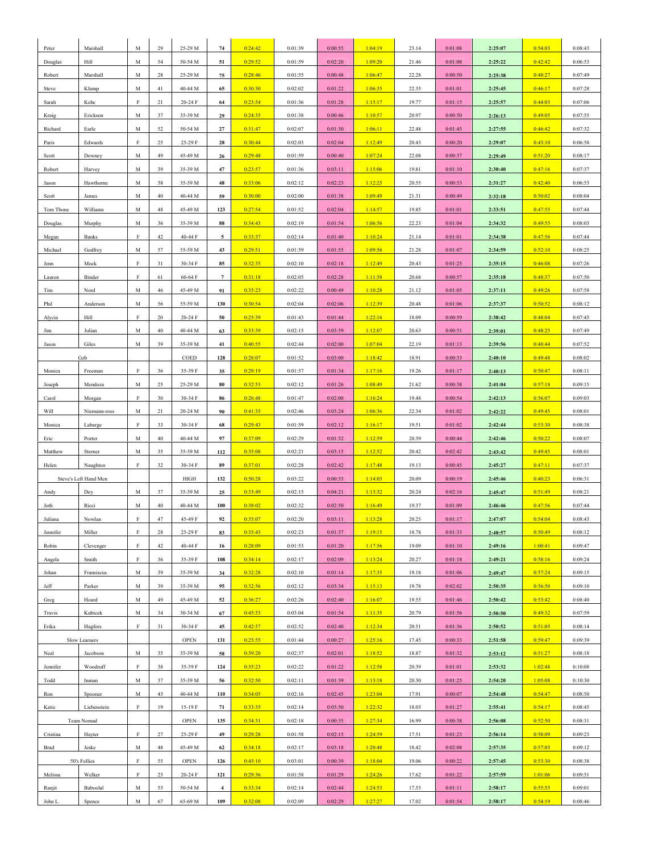| Peter     | Marshall                | M           | 29 | 25-29 M | 74             | 0:24:42 | 0:01:39 | 0:00:55 | 1:04:19 | 23.14 | 0:01:08 | 2:25:07 | 0:54:03 | 0:08:43 |
|-----------|-------------------------|-------------|----|---------|----------------|---------|---------|---------|---------|-------|---------|---------|---------|---------|
| Douglas   | Hill                    | M           | 54 | 50-54 M | 51             | 0:29:52 | 0:01:59 | 0:02:20 | 1:09:20 | 21.46 | 0:01:08 | 2:25:22 | 0:42:42 | 0:06:53 |
| Robert    | Marshall                | M           | 28 | 25-29 M | 75             | 0:28:46 | 0:01:55 | 0:00:48 | 1:06:47 | 22.28 | 0:00:50 | 2:25:38 | 0:48:27 | 0:07:49 |
| Steve     | Klump                   | M           | 41 | 40-44 M | 65             | 0:30:30 | 0:02:02 | 0:01:22 | 1:06:35 | 22.35 | 0:01:01 | 2:25:45 | 0:46:17 | 0:07:28 |
|           |                         | F           |    |         |                | 0:23:54 |         |         | 1:15:17 |       |         | 2:25:57 | 0:44:03 |         |
| Sarah     | Kehe                    |             | 21 | 20-24 F | 64             |         | 0:01:36 | 0:01:28 |         | 19.77 | 0:01:15 |         |         | 0:07:06 |
| Kraig     | Erickson                | M           | 37 | 35-39 M | 29             | 0:24:35 | 0:01:38 | 0:00:46 | 1:10:57 | 20.97 | 0:00:50 | 2:26:13 | 0:49:05 | 0:07:55 |
| Richard   | Earle                   | M           | 52 | 50-54 M | 27             | 0:31:47 | 0:02:07 | 0:01:30 | 1:06:11 | 22.48 | 0:01:45 | 2:27:55 | 0:46:42 | 0:07:32 |
| Paris     | Edwards                 | F           | 25 | 25-29 F | 28             | 0:30:44 | 0:02:03 | 0:02:04 | 1:12:49 | 20.43 | 0:00:20 | 2:29:07 | 0:43:10 | 0:06:58 |
| Scott     | Downey                  | M           | 49 | 45-49 M | 26             | 0:29:48 | 0:01:59 | 0:00:40 | 1:07:24 | 22.08 | 0:00:37 | 2:29:49 | 0:51:20 | 0:08:17 |
| Robert    | Harvey                  | M           | 39 | 35-39 M | 47             | 0:23:57 | 0:01:36 | 0:03:11 | 1:15:06 | 19.81 | 0:01:10 | 2:30:40 | 0:47:16 | 0:07:37 |
| Jason     | Hawthorne               | M           | 38 | 35-39 M | 48             | 0:33:06 | 0:02:12 | 0:02:23 | 1:12:25 | 20.55 | 0:00:53 | 2:31:27 | 0:42:40 | 0:06:53 |
| Scott     | James                   | M           | 40 | 40-44 M | 59             | 0:30:00 | 0:02:00 | 0:01:38 | 1:09:49 | 21.31 | 0:00:49 | 2:32:18 | 0:50:02 | 0:08:04 |
| Tom Tbone | Williams                | M           | 48 | 45-49 M | 123            | 0:27:54 | 0:01:52 | 0:02:04 | 1:14:57 | 19.85 | 0:01:01 | 2:33:51 | 0:47:55 | 0:07:44 |
| Douglas   | Murphy                  | M           | 36 | 35-39 M | 88             | 0:34:43 | 0:02:19 | 0:01:54 | 1:06:56 | 22.23 | 0:01:04 | 2:34:32 | 0:49:55 | 0:08:03 |
| Megan     | Banks                   | F           | 42 | 40-44 F | 5              | 0:33:37 | 0:02:14 | 0:01:40 | 1:10:24 | 21.14 | 0:01:01 | 2:34:38 | 0:47:56 | 0:07:44 |
| Michael   | Godfrey                 | M           | 57 | 55-59 M | 43             | 0:29:51 | 0:01:59 | 0:01:55 | 1:09:56 | 21.28 | 0:01:07 | 2:34:59 | 0:52:10 | 0:08:25 |
| Jenn      | Mock                    | F           | 31 | 30-34 F | 85             | 0:32:35 | 0:02:10 | 0:02:18 | 1:12:49 | 20.43 | 0:01:25 | 2:35:15 | 0:46:08 | 0:07:26 |
| Lauren    | Binder                  | F           | 61 | 60-64 F | $\overline{7}$ | 0:31:18 | 0:02:05 | 0:02:28 | 1:11:58 | 20.68 | 0:00:57 | 2:35:18 | 0:48:37 | 0:07:50 |
| Tim       | Nord                    | M           | 46 | 45-49 M | 91             | 0:35:23 | 0:02:22 | 0:00:49 | 1:10:28 | 21.12 | 0:01:05 | 2:37:11 | 0:49:26 | 0:07:58 |
| Phil      | Anderson                | M           | 56 | 55-59 M | 130            | 0:30:54 | 0:02:04 | 0:02:06 | 1:12:39 | 20.48 | 0:01:06 | 2:37:37 | 0:50:52 | 0:08:12 |
| Alycia    | Hill                    | F           | 20 | 20-24 F | 50             | 0:25:39 | 0:01:43 | 0:01:44 | 1:22:16 | 18.09 | 0:00:59 | 2:38:42 | 0:48:04 | 0:07:45 |
| Jim       | Julian                  | M           | 40 | 40-44 M | 63             | 0:33:39 | 0:02:15 | 0:03:59 | 1:12:07 | 20.63 | 0:00:51 | 2:39:01 | 0:48:25 | 0:07:49 |
| Jason     | Giles                   | М           | 39 | 35-39 M | 41             | 0:40:55 | 0:02:44 | 0:02:00 | 1:07:04 | 22.19 | 0:01:13 | 2:39:56 | 0:48:44 | 0:07:52 |
|           | Gzb                     |             |    | COED    | 128            | 0:28:07 | 0:01:52 | 0:03:00 | 1:18:42 | 18.91 | 0:00:33 | 2:40:10 | 0:49:48 | 0:08:02 |
| Monica    | Freeman                 | F           | 36 | 35-39 F | 35             | 0:29:19 | 0:01:57 | 0:01:34 | 1:17:16 | 19.26 | 0:01:17 | 2:40:13 | 0:50:47 | 0:08:11 |
| Joseph    | Mendoza                 | M           | 25 | 25-29 M | 80             | 0:32:53 | 0:02:12 | 0:01:26 | 1:08:49 | 21.62 | 0:00:38 | 2:41:04 | 0:57:18 | 0:09:15 |
| Carol     | Morgan                  | F           | 30 | 30-34 F | 86             | 0:26:48 | 0:01:47 | 0:02:00 | 1:16:24 | 19.48 | 0:00:54 | 2:42:13 | 0:56:07 | 0:09:03 |
| Will      |                         | M           | 21 | 20-24 M | 90             | 0:41:35 | 0:02:46 | 0:03:24 | 1:06:36 | 22.34 | 0:01:02 | 2:42:22 | 0:49:45 | 0:08:01 |
| Monica    | Niemann-ross<br>Labarge | F           | 33 | 30-34 F | 68             | 0:29:43 | 0:01:59 | 0:02:12 | 1:16:17 | 19.51 | 0:01:02 | 2:42:44 | 0:53:30 | 0:08:38 |
|           |                         |             |    |         |                |         |         |         |         |       |         |         |         |         |
|           |                         |             |    |         |                |         |         |         |         |       |         |         |         |         |
| Eric      | Porter                  | M           | 40 | 40-44 M | 97             | 0:37:09 | 0:02:29 | 0:01:32 | 1:12:59 | 20.39 | 0:00:44 | 2:42:46 | 0:50:22 | 0:08:07 |
| Matthew   | Sterner                 | M           | 35 | 35-39 M | 112            | 0:35:08 | 0:02:21 | 0:03:15 | 1:12:52 | 20.42 | 0:02:42 | 2:43:42 | 0:49:45 | 0:08:01 |
| Helen     | Naughton                | $\rm F$     | 32 | 30-34 F | 89             | 0:37:01 | 0:02:28 | 0:02:42 | 1:17:48 | 19.13 | 0:00:45 | 2:45:27 | 0:47:11 | 0:07:37 |
|           | Steve's Left Hand Men   |             |    | HIGH    | 132            | 0:50:28 | 0:03:22 | 0:00:33 | 1:14:03 | 20.09 | 0:00:19 | 2:45:46 | 0:40:23 | 0:06:31 |
| Andy      | Dey                     | M           | 37 | 35-39 M | 25             | 0:33:49 | 0:02:15 | 0:04:21 | 1:13:32 | 20.24 | 0:02:16 | 2:45:47 | 0:51:49 | 0:08:21 |
| Joth      | Ricci                   | M           | 40 | 40-44 M | 100            | 0:38:02 | 0:02:32 | 0:02:50 | 1:16:49 | 19.37 | 0:01:09 | 2:46:46 | 0:47:56 | 0:07:44 |
| Juliana   | Nowlan                  | F           | 47 | 45-49 F | 92             | 0:35:07 | 0:02:20 | 0:03:11 | 1:13:28 | 20.25 | 0:01:17 | 2:47:07 | 0:54:04 | 0:08:43 |
| Jennifer  | Miller                  | $\mathbf F$ | 28 | 25-29 F | 83             | 0:35:43 | 0:02:23 | 0:01:37 | 1:19:15 | 18.78 | 0:01:33 | 2:48:57 | 0:50:49 | 0:08:12 |
| Robin     | Clevenger               | $\rm F$     | 42 | 40-44 F | 16             | 0:28:09 | 0:01:53 | 0:01:20 | 1:17:56 | 19.09 | 0:01:10 | 2:49:16 | 1:00:41 | 0:09:47 |
| Angela    | Smith                   | F           | 36 | 35-39 F | 108            | 0:34:14 | 0:02:17 | 0:02:09 | 1:13:24 | 20.27 | 0:01:18 | 2:49:21 | 0:58:16 | 0:09:24 |
| Johan     | Fransiscus              | M           | 39 | 35-39 M | 34             | 0:32:28 | 0:02:10 | 0:01:14 | 1:17:35 | 19.18 | 0:01:06 | 2:49:47 | 0:57:24 | 0:09:15 |
| Jeff      | Parker                  | М           | 39 | 35-39 M | 95             | 0:32:56 | 0:02:12 | 0:03:34 | 1:15:13 | 19.78 | 0:02:02 | 2:50:35 | 0:56:50 | 0:09:10 |
| Greg      | Hoard                   | $_{\rm M}$  | 49 | 45-49 M | 52             | 0:36:27 | 0:02:26 | 0:02:40 | 1:16:07 | 19.55 | 0:01:46 | 2:50:42 | 0:53:42 | 0:08:40 |
| Travis    | Kubicek                 | M           | 34 | 30-34 M | 67             | 0:45:53 | 0:03:04 | 0:01:54 | 1:11:35 | 20.79 | 0:01:56 | 2:50:50 | 0:49:32 | 0:07:59 |
| Erika     | Hagfors                 | $\rm F$     | 31 | 30-34 F | 45             | 0:42:57 | 0:02:52 | 0:02:40 | 1:12:34 | 20.51 | 0:01:36 | 2:50:52 | 0:51:05 | 0:08:14 |
|           | Slow Learners           |             |    | OPEN    | 131            | 0:25:55 | 0:01:44 | 0:00:27 | 1:25:16 | 17.45 | 0:00:33 | 2:51:58 | 0:59:47 | 0:09:39 |
| Neal      | Jacobson                | M           | 35 | 35-39 M | 58             | 0:39:20 | 0:02:37 | 0:02:01 | 1:18:52 | 18.87 | 0:01:32 | 2:53:12 | 0:51:27 | 0:08:18 |
| Jennifer  | Woodruff                | F           | 38 | 35-39 F | 124            | 0:35:23 | 0:02:22 | 0:01:22 | 1:12:58 | 20.39 | 0:01:01 | 2:53:32 | 1:02:48 | 0:10:08 |
| Todd      | Inman                   | M           | 37 | 35-39 M | 56             | 0:32:50 | 0:02:11 | 0:01:39 | 1:13:18 | 20.30 | 0:01:25 | 2:54:20 | 1:05:08 | 0:10:30 |
| Ron       | Spooner                 | M           | 43 | 40-44 M | 110            | 0:34:05 | 0:02:16 | 0:02:45 | 1:23:04 | 17.91 | 0:00:07 | 2:54:48 | 0:54:47 | 0:08:50 |
| Katie     | Liebenstein             | $\mathbf F$ | 19 | 15-19 F | 71             | 0:33:35 | 0:02:14 | 0:03:50 | 1:22:32 | 18.03 | 0:01:27 | 2:55:41 | 0:54:17 | 0:08:45 |
|           | Team Nomad              |             |    | OPEN    | 135            | 0:34:31 | 0:02:18 | 0:00:35 | 1:27:34 | 16.99 | 0:00:38 | 2:56:08 | 0:52:50 | 0:08:31 |
| Cristina  | Hayter                  | $\rm F$     | 27 | 25-29 F | 49             | 0:29:28 | 0:01:58 | 0:02:15 | 1:24:59 | 17.51 | 0:01:23 | 2:56:14 | 0:58:09 | 0:09:23 |
| Brad      | Jeske                   | М           | 48 | 45-49 M | 62             | 0:34:18 | 0:02:17 | 0:03:18 | 1:20:48 | 18.42 | 0:02:08 | 2:57:35 | 0:57:03 | 0:09:12 |
|           | 50's Follies            | F           | 55 | OPEN    | 126            | 0:45:10 | 0:03:01 | 0:00:39 | 1:18:04 | 19.06 | 0:00:22 | 2:57:45 | 0:53:30 | 0:08:38 |
| Melissa   | Welker                  | $\rm F$     | 23 | 20-24 F | 121            | 0:29:36 | 0:01:58 | 0:01:29 | 1:24:26 | 17.62 | 0:01:22 | 2:57:59 | 1:01:06 | 0:09:51 |
| Ranjit    | Baboolal                | M           | 53 | 50-54 M | $\overline{4}$ | 0:33:34 | 0:02:14 | 0:02:44 | 1:24:53 | 17.53 | 0:01:11 | 2:58:17 | 0:55:55 | 0:09:01 |